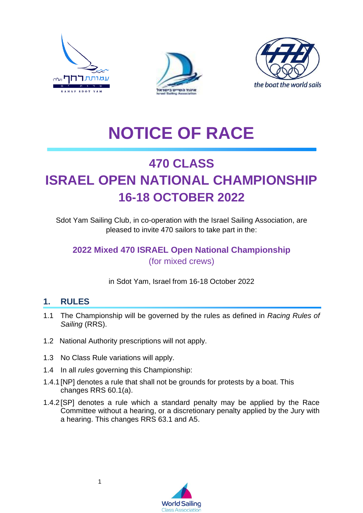





# **NOTICE OF RACE**

## **470 CLASS ISRAEL OPEN NATIONAL CHAMPIONSHIP 16-18 OCTOBER 2022**

Sdot Yam Sailing Club, in co-operation with the Israel Sailing Association, are pleased to invite 470 sailors to take part in the:

#### **2022 Mixed 470 ISRAEL Open National Championship** (for mixed crews)

in Sdot Yam, Israel from 16-18 October 2022

#### **1. RULES**

- 1.1 The Championship will be governed by the rules as defined in *Racing Rules of Sailing* (RRS).
- 1.2 National Authority prescriptions will not apply.
- 1.3 No Class Rule variations will apply.
- 1.4 In all *rules* governing this Championship:
- 1.4.1[NP] denotes a rule that shall not be grounds for protests by a boat. This changes RRS 60.1(a).
- 1.4.2[SP] denotes a rule which a standard penalty may be applied by the Race Committee without a hearing, or a discretionary penalty applied by the Jury with a hearing. This changes RRS 63.1 and A5.

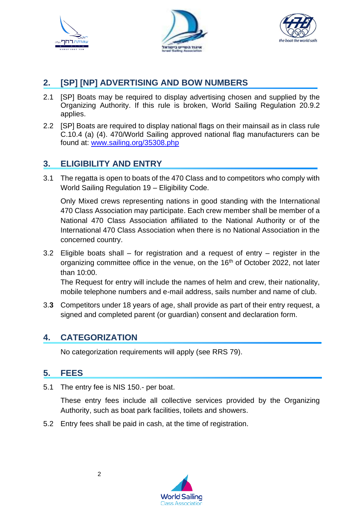





#### **2. [SP] [NP] ADVERTISING AND BOW NUMBERS**

- 2.1 [SP] Boats may be required to display advertising chosen and supplied by the Organizing Authority. If this rule is broken, World Sailing Regulation 20.9.2 applies.
- 2.2 [SP] Boats are required to display national flags on their mainsail as in class rule C.10.4 (a) (4). 470/World Sailing approved national flag manufacturers can be found at: [www.sailing.org/35308.php](http://www.sailing.org/35308.php)

#### **3. ELIGIBILITY AND ENTRY**

3.1 The regatta is open to boats of the 470 Class and to competitors who comply with World Sailing Regulation 19 – Eligibility Code.

Only Mixed crews representing nations in good standing with the International 470 Class Association may participate. Each crew member shall be member of a National 470 Class Association affiliated to the National Authority or of the International 470 Class Association when there is no National Association in the concerned country.

3.2 Eligible boats shall – for registration and a request of entry – register in the organizing committee office in the venue, on the 16<sup>th</sup> of October 2022, not later than 10:00.

The Request for entry will include the names of helm and crew, their nationality, mobile telephone numbers and e-mail address, sails number and name of club.

3.**3** Competitors under 18 years of age, shall provide as part of their entry request, a signed and completed parent (or guardian) consent and declaration form.

#### **4. CATEGORIZATION**

No categorization requirements will apply (see RRS 79).

#### **5. FEES**

5.1 The entry fee is NIS 150.- per boat.

These entry fees include all collective services provided by the Organizing Authority, such as boat park facilities, toilets and showers.

5.2 Entry fees shall be paid in cash, at the time of registration.

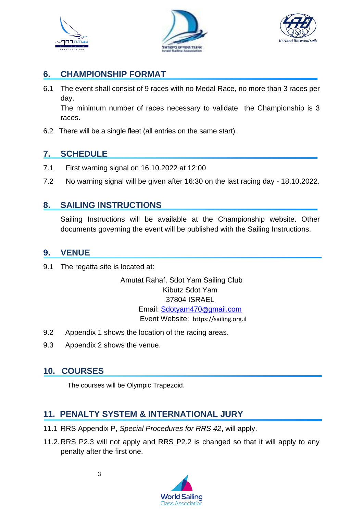





#### **6. CHAMPIONSHIP FORMAT**

6.1 The event shall consist of 9 races with no Medal Race, no more than 3 races per day.

The minimum number of races necessary to validate the Championship is 3 races.

6.2 There will be a single fleet (all entries on the same start).

#### **7. SCHEDULE**

- 7.1 First warning signal on 16.10.2022 at 12:00
- 7.2 No warning signal will be given after 16:30 on the last racing day 18.10.2022.

#### **8. SAILING INSTRUCTIONS**

Sailing Instructions will be available at the Championship website. Other documents governing the event will be published with the Sailing Instructions.

#### **9. VENUE**

9.1 The regatta site is located at:

Amutat Rahaf, Sdot Yam Sailing Club Kibutz Sdot Yam 37804 ISRAEL Email: [Sdotyam470](mailto:Sdotyam470@gmail.com)@gmail.com Event Website: https://sailing.org.il

- 9.2 Appendix 1 shows the location of the racing areas.
- 9.3 Appendix 2 shows the venue.

#### **10. COURSES**

The courses will be Olympic Trapezoid.

#### **11. PENALTY SYSTEM & INTERNATIONAL JURY**

- 11.1 RRS Appendix P, *Special Procedures for RRS 42*, will apply.
- 11.2.RRS P2.3 will not apply and RRS P2.2 is changed so that it will apply to any penalty after the first one.

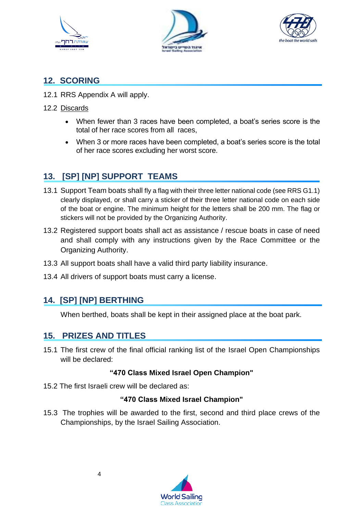





#### **12. SCORING**

- 12.1 RRS Appendix A will apply.
- 12.2 Discards
	- When fewer than 3 races have been completed, a boat's series score is the total of her race scores from all races,
	- When 3 or more races have been completed, a boat's series score is the total of her race scores excluding her worst score.

#### **13. [SP] [NP] SUPPORT TEAMS**

- 13.1 Support Team boats shall fly a flag with their three letter national code (see RRS G1.1) clearly displayed, or shall carry a sticker of their three letter national code on each side of the boat or engine. The minimum height for the letters shall be 200 mm. The flag or stickers will not be provided by the Organizing Authority.
- 13.2 Registered support boats shall act as assistance / rescue boats in case of need and shall comply with any instructions given by the Race Committee or the Organizing Authority.
- 13.3 All support boats shall have a valid third party liability insurance.
- 13.4 All drivers of support boats must carry a license.

#### **14. [SP] [NP] BERTHING**

When berthed, boats shall be kept in their assigned place at the boat park.

#### **15. PRIZES AND TITLES**

15.1 The first crew of the final official ranking list of the Israel Open Championships will be declared:

#### **"470 Class Mixed Israel Open Champion"**

15.2 The first Israeli crew will be declared as:

#### **"470 Class Mixed Israel Champion"**

15.3 The trophies will be awarded to the first, second and third place crews of the Championships, by the Israel Sailing Association.

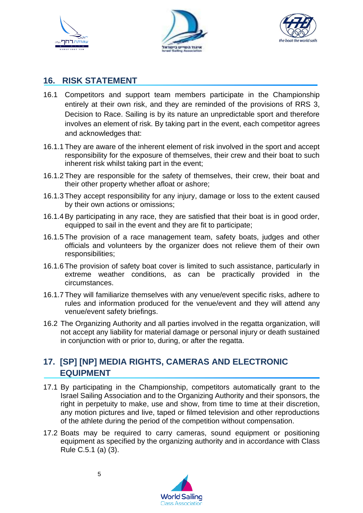





#### **16. RISK STATEMENT**

- 16.1 Competitors and support team members participate in the Championship entirely at their own risk, and they are reminded of the provisions of RRS 3, Decision to Race. Sailing is by its nature an unpredictable sport and therefore involves an element of risk. By taking part in the event, each competitor agrees and acknowledges that:
- 16.1.1 They are aware of the inherent element of risk involved in the sport and accept responsibility for the exposure of themselves, their crew and their boat to such inherent risk whilst taking part in the event;
- 16.1.2 They are responsible for the safety of themselves, their crew, their boat and their other property whether afloat or ashore;
- 16.1.3 They accept responsibility for any injury, damage or loss to the extent caused by their own actions or omissions;
- 16.1.4By participating in any race, they are satisfied that their boat is in good order, equipped to sail in the event and they are fit to participate;
- 16.1.5 The provision of a race management team, safety boats, judges and other officials and volunteers by the organizer does not relieve them of their own responsibilities;
- 16.1.6 The provision of safety boat cover is limited to such assistance, particularly in extreme weather conditions, as can be practically provided in the circumstances.
- 16.1.7 They will familiarize themselves with any venue/event specific risks, adhere to rules and information produced for the venue/event and they will attend any venue/event safety briefings.
- 16.2 The Organizing Authority and all parties involved in the regatta organization, will not accept any liability for material damage or personal injury or death sustained in conjunction with or prior to, during, or after the regatta.

#### **17. [SP] [NP] MEDIA RIGHTS, CAMERAS AND ELECTRONIC EQUIPMENT**

- 17.1 By participating in the Championship, competitors automatically grant to the Israel Sailing Association and to the Organizing Authority and their sponsors, the right in perpetuity to make, use and show, from time to time at their discretion, any motion pictures and live, taped or filmed television and other reproductions of the athlete during the period of the competition without compensation.
- 17.2 Boats may be required to carry cameras, sound equipment or positioning equipment as specified by the organizing authority and in accordance with Class Rule C.5.1 (a) (3).

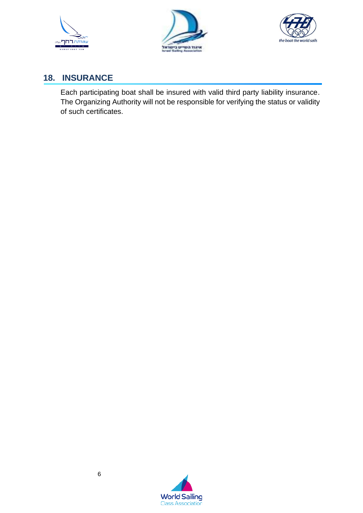





#### **18. INSURANCE**

Each participating boat shall be insured with valid third party liability insurance. The Organizing Authority will not be responsible for verifying the status or validity of such certificates.

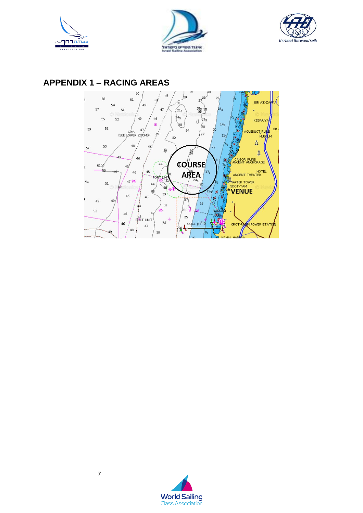





#### **APPENDIX 1 - RACING AREAS**